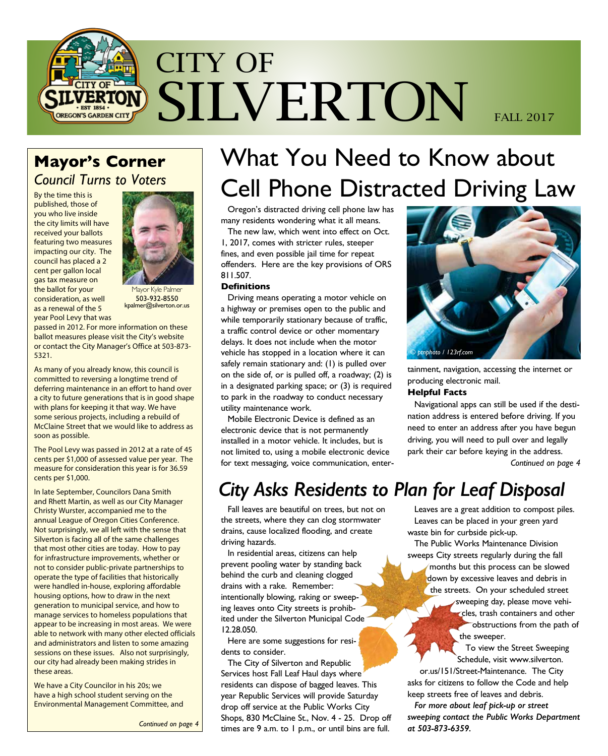

### **Mayor's Corner**  *Council Turns to Voters*

By the time this is published, those of you who live inside the city limits will have received your ballots featuring two measures impacting our city. The council has placed a 2 cent per gallon local gas tax measure on the ballot for your consideration, as well as a renewal of the 5 year Pool Levy that was



layor Kyle Palmer 503-932-8550 kpalmer@silverton.or.us

passed in 2012. For more information on these ballot measures please visit the City's website or contact the City Manager's Office at 503-873- 5321.

As many of you already know, this council is committed to reversing a longtime trend of deferring maintenance in an effort to hand over a city to future generations that is in good shape with plans for keeping it that way. We have some serious projects, including a rebuild of McClaine Street that we would like to address as soon as possible.

The Pool Levy was passed in 2012 at a rate of 45 cents per \$1,000 of assessed value per year. The measure for consideration this year is for 36.59 cents per \$1,000.

In late September, Councilors Dana Smith and Rhett Martin, as well as our City Manager Christy Wurster, accompanied me to the annual League of Oregon Cities Conference. Not surprisingly, we all left with the sense that Silverton is facing all of the same challenges that most other cities are today. How to pay for infrastructure improvements, whether or not to consider public-private partnerships to operate the type of facilities that historically were handled in-house, exploring affordable housing options, how to draw in the next generation to municipal service, and how to manage services to homeless populations that appear to be increasing in most areas. We were able to network with many other elected officials and administrators and listen to some amazing sessions on these issues. Also not surprisingly, our city had already been making strides in these areas.

We have a City Councilor in his 20s; we have a high school student serving on the Environmental Management Committee, and

*Continued on page 4*

# What You Need to Know about Cell Phone Distracted Driving Law

Oregon's distracted driving cell phone law has many residents wondering what it all means.

The new law, which went into effect on Oct. 1, 2017, comes with stricter rules, steeper fines, and even possible jail time for repeat offenders. Here are the key provisions of ORS 811.507.

#### **Definitions**

Driving means operating a motor vehicle on a highway or premises open to the public and while temporarily stationary because of traffic, a traffic control device or other momentary delays. It does not include when the motor vehicle has stopped in a location where it can safely remain stationary and: (1) is pulled over on the side of, or is pulled off, a roadway; (2) is in a designated parking space; or (3) is required to park in the roadway to conduct necessary utility maintenance work.

Mobile Electronic Device is defined as an electronic device that is not permanently installed in a motor vehicle. It includes, but is not limited to, using a mobile electronic device for text messaging, voice communication, enter-



tainment, navigation, accessing the internet or producing electronic mail.

#### **Helpful Facts**

Navigational apps can still be used if the destination address is entered before driving. If you need to enter an address after you have begun driving, you will need to pull over and legally park their car before keying in the address. *Continued on page 4*

### *City Asks Residents to Plan for Leaf Disposal*

Fall leaves are beautiful on trees, but not on the streets, where they can clog stormwater drains, cause localized flooding, and create driving hazards.

In residential areas, citizens can help prevent pooling water by standing back behind the curb and cleaning clogged drains with a rake. Remember: intentionally blowing, raking or sweeping leaves onto City streets is prohibited under the Silverton Municipal Code 12.28.050.

Here are some suggestions for residents to consider.

The City of Silverton and Republic Services host Fall Leaf Haul days where residents can dispose of bagged leaves. This year Republic Services will provide Saturday drop off service at the Public Works City Shops, 830 McClaine St., Nov. 4 - 25. Drop off times are 9 a.m. to 1 p.m., or until bins are full.

Leaves are a great addition to compost piles. Leaves can be placed in your green yard waste bin for curbside pick-up.

The Public Works Maintenance Division sweeps City streets regularly during the fall months but this process can be slowed down by excessive leaves and debris in the streets. On your scheduled street

sweeping day, please move vehicles, trash containers and other obstructions from the path of the sweeper.

To view the Street Sweeping Schedule, visit www.silverton. or.us/151/Street-Maintenance. The City asks for citizens to follow the Code and help keep streets free of leaves and debris.

*For more about leaf pick-up or street sweeping contact the Public Works Department at 503-873-6359.*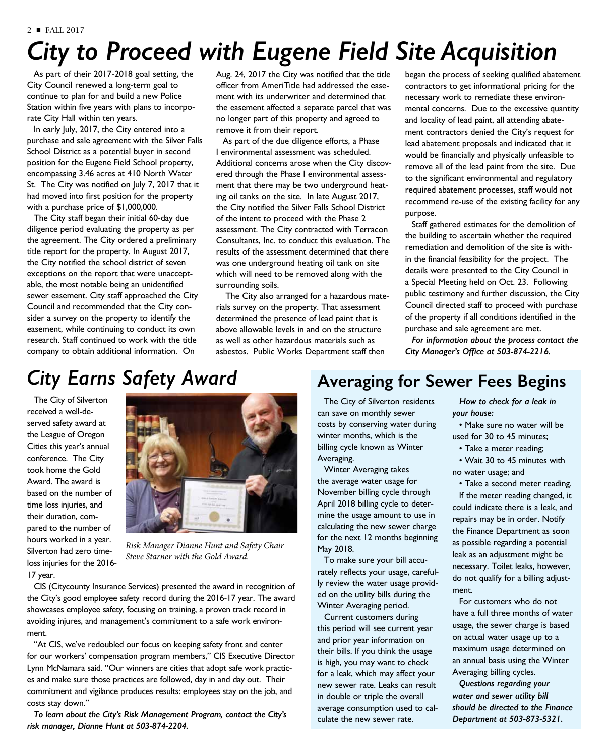# *City to Proceed with Eugene Field Site Acquisition*

As part of their 2017-2018 goal setting, the City Council renewed a long-term goal to continue to plan for and build a new Police Station within five years with plans to incorporate City Hall within ten years.

In early July, 2017, the City entered into a purchase and sale agreement with the Silver Falls School District as a potential buyer in second position for the Eugene Field School property, encompassing 3.46 acres at 410 North Water St. The City was notified on July 7, 2017 that it had moved into first position for the property with a purchase price of \$1,000,000.

The City staff began their initial 60-day due diligence period evaluating the property as per the agreement. The City ordered a preliminary title report for the property. In August 2017, the City notified the school district of seven exceptions on the report that were unacceptable, the most notable being an unidentified sewer easement. City staff approached the City Council and recommended that the City consider a survey on the property to identify the easement, while continuing to conduct its own research. Staff continued to work with the title company to obtain additional information. On

Aug. 24, 2017 the City was notified that the title officer from AmeriTitle had addressed the easement with its underwriter and determined that the easement affected a separate parcel that was no longer part of this property and agreed to remove it from their report.

As part of the due diligence efforts, a Phase I environmental assessment was scheduled. Additional concerns arose when the City discovered through the Phase I environmental assessment that there may be two underground heating oil tanks on the site. In late August 2017, the City notified the Silver Falls School District of the intent to proceed with the Phase 2 assessment. The City contracted with Terracon Consultants, Inc. to conduct this evaluation. The results of the assessment determined that there was one underground heating oil tank on site which will need to be removed along with the surrounding soils.

 The City also arranged for a hazardous materials survey on the property. That assessment determined the presence of lead paint that is above allowable levels in and on the structure as well as other hazardous materials such as asbestos. Public Works Department staff then

began the process of seeking qualified abatement contractors to get informational pricing for the necessary work to remediate these environmental concerns. Due to the excessive quantity and locality of lead paint, all attending abatement contractors denied the City's request for lead abatement proposals and indicated that it would be financially and physically unfeasible to remove all of the lead paint from the site. Due to the significant environmental and regulatory required abatement processes, staff would not recommend re-use of the existing facility for any purpose.

Staff gathered estimates for the demolition of the building to ascertain whether the required remediation and demolition of the site is within the financial feasibility for the project. The details were presented to the City Council in a Special Meeting held on Oct. 23. Following public testimony and further discussion, the City Council directed staff to proceed with purchase of the property if all conditions identified in the purchase and sale agreement are met.

*For information about the process contact the City Manager's Office at 503-874-2216.*

## *City Earns Safety Award*

The City of Silverton received a well-deserved safety award at the League of Oregon Cities this year's annual conference. The City took home the Gold Award. The award is based on the number of time loss injuries, and their duration, compared to the number of hours worked in a year. Silverton had zero timeloss injuries for the 2016- 17 year.



*Risk Manager Dianne Hunt and Safety Chair Steve Starner with the Gold Award.*

CIS (Citycounty Insurance Services) presented the award in recognition of the City's good employee safety record during the 2016-17 year. The award showcases employee safety, focusing on training, a proven track record in avoiding injures, and management's commitment to a safe work environment.

"At CIS, we've redoubled our focus on keeping safety front and center for our workers' compensation program members," CIS Executive Director Lynn McNamara said. "Our winners are cities that adopt safe work practices and make sure those practices are followed, day in and day out. Their commitment and vigilance produces results: employees stay on the job, and costs stay down."

*To learn about the City's Risk Management Program, contact the City's risk manager, Dianne Hunt at 503-874-2204.* 

### **Averaging for Sewer Fees Begins**

The City of Silverton residents can save on monthly sewer costs by conserving water during winter months, which is the billing cycle known as Winter Averaging.

Winter Averaging takes the average water usage for November billing cycle through April 2018 billing cycle to determine the usage amount to use in calculating the new sewer charge for the next 12 months beginning May 2018.

To make sure your bill accurately reflects your usage, carefully review the water usage provided on the utility bills during the Winter Averaging period.

Current customers during this period will see current year and prior year information on their bills. If you think the usage is high, you may want to check for a leak, which may affect your new sewer rate. Leaks can result in double or triple the overall average consumption used to calculate the new sewer rate.

*How to check for a leak in your house:* 

• Make sure no water will be used for 30 to 45 minutes;

- Take a meter reading;
- Wait 30 to 45 minutes with no water usage; and

• Take a second meter reading. If the meter reading changed, it could indicate there is a leak, and repairs may be in order. Notify the Finance Department as soon as possible regarding a potential leak as an adjustment might be necessary. Toilet leaks, however, do not qualify for a billing adjustment.

For customers who do not have a full three months of water usage, the sewer charge is based on actual water usage up to a maximum usage determined on an annual basis using the Winter Averaging billing cycles.

*Questions regarding your water and sewer utility bill should be directed to the Finance Department at 503-873-5321.*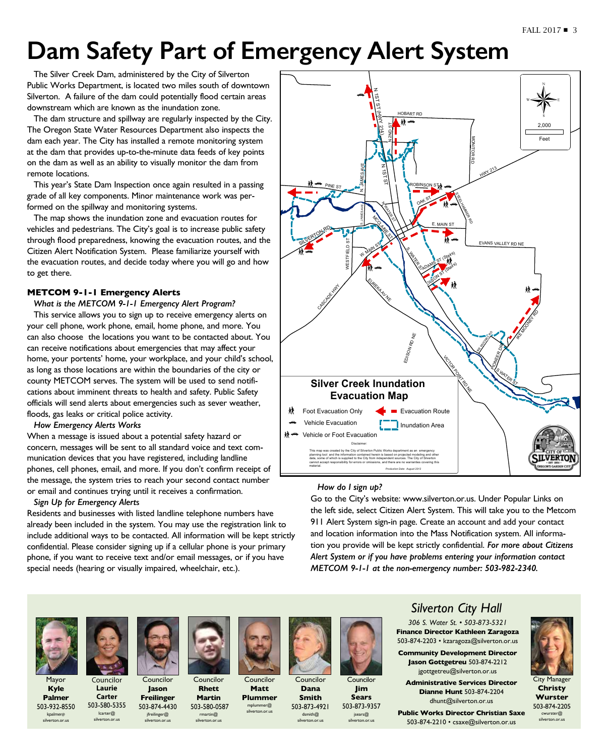# **Dam Safety Part of Emergency Alert System**

The Silver Creek Dam, administered by the City of Silverton Public Works Department, is located two miles south of downtown Silverton. A failure of the dam could potentially flood certain areas downstream which are known as the inundation zone.

The dam structure and spillway are regularly inspected by the City. The Oregon State Water Resources Department also inspects the dam each year. The City has installed a remote monitoring system at the dam that provides up-to-the-minute data feeds of key points on the dam as well as an ability to visually monitor the dam from remote locations.

This year's State Dam Inspection once again resulted in a passing grade of all key components. Minor maintenance work was performed on the spillway and monitoring systems.

The map shows the inundation zone and evacuation routes for vehicles and pedestrians. The City's goal is to increase public safety through flood preparedness, knowing the evacuation routes, and the Citizen Alert Notification System. Please familiarize yourself with the evacuation routes, and decide today where you will go and how to get there.

### **METCOM 9-1-1 Emergency Alerts**

*What is the METCOM 9-1-1 Emergency Alert Program?*

This service allows you to sign up to receive emergency alerts on your cell phone, work phone, email, home phone, and more. You can also choose the locations you want to be contacted about. You can receive notifications about emergencies that may affect your home, your portents' home, your workplace, and your child's school, as long as those locations are within the boundaries of the city or county METCOM serves. The system will be used to send notifications about imminent threats to health and safety. Public Safety officials will send alerts about emergencies such as sever weather, floods, gas leaks or critical police activity. ገ<br>r<br>.

#### *How Emergency Alerts Works*

When a message is issued about a potential safety hazard or concern, messages will be sent to all standard voice and text communication devices that you have registered, including landline phones, cell phones, email, and more. If you don't confirm receipt of the message, the system tries to reach your second contact number or email and continues trying until it receives a confirmation.

#### *Sign Up for Emergency Alert*s

Residents and businesses with listed landline telephone numbers have already been included in the system. You may use the registration link to include additional ways to be contacted. All information will be kept strictly confidential. Please consider signing up if a cellular phone is your primary phone, if you want to receive text and/or email messages, or if you have special needs (hearing or visually impaired, wheelchair, etc.).



#### *How do I sign up?*

Go to the City's website: www.silverton.or.us. Under Popular Links on the left side, select Citizen Alert System. This will take you to the Metcom 911 Alert System sign-in page. Create an account and add your contact and location information into the Mass Notification system. All information you provide will be kept strictly confidential. *For more about Citizens Alert System or if you have problems entering your information contact METCOM 9-1-1 at the non-emergency number: 503-982-2340.*



Mayor **Kyle Palmer**

503-932-8550 kpalmer@ silverton.or.us

**Councilor Laurie Carter** 503-580-5355 lcarter@ silverton.or.us jfreilinger@ silverton.or.us



Councilor **Jason Freilinger** 503-874-4430 Councilor **Rhett Martin** 503-580-0587 rmartin@ silverton.or.us

Councilor **Matt Plummer** 

mplummer@ silverton.or.us



**Dana Smith**



Councilor 503-873-4921



dsmith@ silverton.or.us **Sears** 503-873-9357

jsears@ silverton.or.us



*306 S. Water St. • 503-873-5321* **Finance Director Kathleen Zaragoza** 503-874-2203 • kzaragoza@silverton.or.us

**Community Development Director Jason Gottgetreu** 503-874-2212 jgottgetreu@silverton.or.us

**Administrative Services Director Dianne Hunt** 503-874-2204 dhunt@silverton.or.us

**Public Works Director Christian Saxe**  503-874-2210 • csaxe@silverton.or.us



City Manager **Christy Wurster** 503-874-2205 cwurster@ silverton.or.us